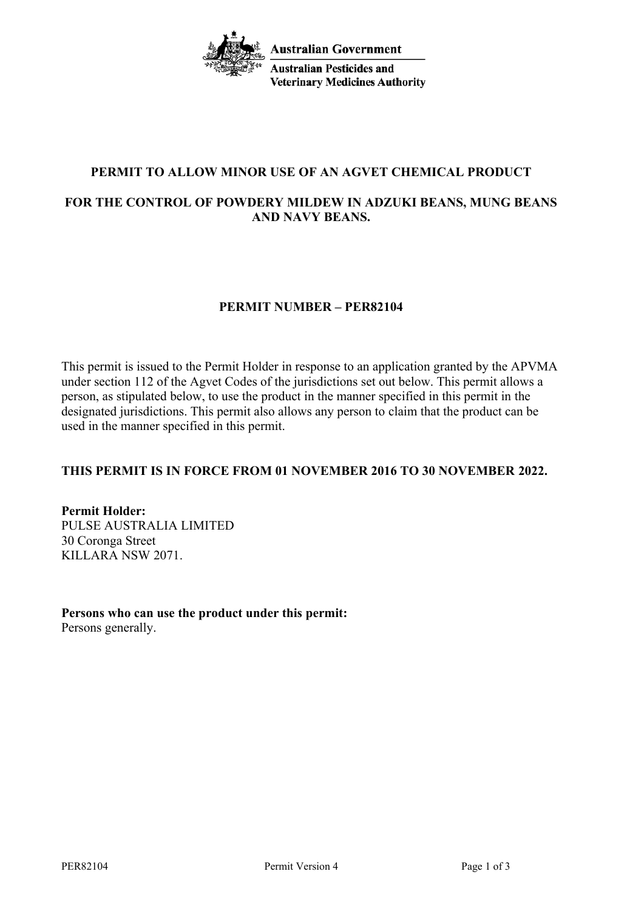

# **PERMIT TO ALLOW MINOR USE OF AN AGVET CHEMICAL PRODUCT**

# **FOR THE CONTROL OF POWDERY MILDEW IN ADZUKI BEANS, MUNG BEANS AND NAVY BEANS.**

# **PERMIT NUMBER – PER82104**

This permit is issued to the Permit Holder in response to an application granted by the APVMA under section 112 of the Agvet Codes of the jurisdictions set out below. This permit allows a person, as stipulated below, to use the product in the manner specified in this permit in the designated jurisdictions. This permit also allows any person to claim that the product can be used in the manner specified in this permit.

#### **THIS PERMIT IS IN FORCE FROM 01 NOVEMBER 2016 TO 30 NOVEMBER 2022.**

**Permit Holder:** PULSE AUSTRALIA LIMITED 30 Coronga Street KILLARA NSW 2071.

**Persons who can use the product under this permit:** Persons generally.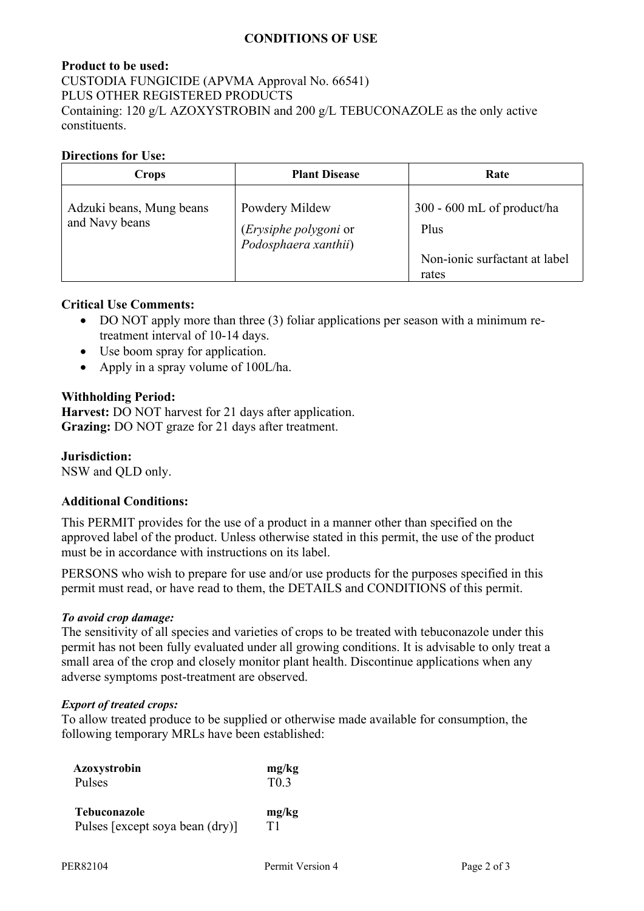# **CONDITIONS OF USE**

# **Product to be used:** CUSTODIA FUNGICIDE (APVMA Approval No. 66541) PLUS OTHER REGISTERED PRODUCTS Containing: 120 g/L AZOXYSTROBIN and 200 g/L TEBUCONAZOLE as the only active constituents.

### **Directions for Use:**

| Crops                                      | <b>Plant Disease</b>                                            | Rate                                                                           |
|--------------------------------------------|-----------------------------------------------------------------|--------------------------------------------------------------------------------|
| Adzuki beans, Mung beans<br>and Navy beans | Powdery Mildew<br>(Erysiphe polygoni or<br>Podosphaera xanthii) | $300 - 600$ mL of product/ha<br>Plus<br>Non-ionic surfactant at label<br>rates |

# **Critical Use Comments:**

- DO NOT apply more than three (3) foliar applications per season with a minimum retreatment interval of 10-14 days.
- Use boom spray for application.
- Apply in a spray volume of 100L/ha.

# **Withholding Period:**

**Harvest:** DO NOT harvest for 21 days after application. **Grazing:** DO NOT graze for 21 days after treatment.

**Jurisdiction:**

NSW and QLD only.

#### **Additional Conditions:**

This PERMIT provides for the use of a product in a manner other than specified on the approved label of the product. Unless otherwise stated in this permit, the use of the product must be in accordance with instructions on its label.

PERSONS who wish to prepare for use and/or use products for the purposes specified in this permit must read, or have read to them, the DETAILS and CONDITIONS of this permit.

#### *To avoid crop damage:*

The sensitivity of all species and varieties of crops to be treated with tebuconazole under this permit has not been fully evaluated under all growing conditions. It is advisable to only treat a small area of the crop and closely monitor plant health. Discontinue applications when any adverse symptoms post-treatment are observed.

#### *Export of treated crops:*

To allow treated produce to be supplied or otherwise made available for consumption, the following temporary MRLs have been established:

| Azoxystrobin                    | mg/kg  |
|---------------------------------|--------|
| Pulses                          | $T0$ 3 |
| Tebuconazole                    | mg/kg  |
| Pulses [except soya bean (dry)] | Τ1     |